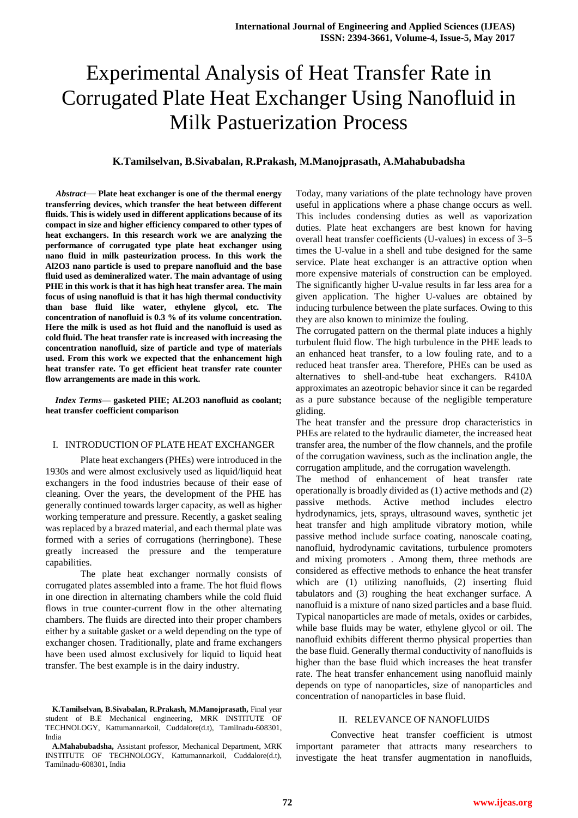# Experimental Analysis of Heat Transfer Rate in Corrugated Plate Heat Exchanger Using Nanofluid in Milk Pastuerization Process

# **K.Tamilselvan, B.Sivabalan, R.Prakash, M.Manojprasath, A.Mahabubadsha**

*Abstract*— **Plate heat exchanger is one of the thermal energy transferring devices, which transfer the heat between different fluids. This is widely used in different applications because of its compact in size and higher efficiency compared to other types of heat exchangers. In this research work we are analyzing the performance of corrugated type plate heat exchanger using nano fluid in milk pasteurization process. In this work the Al2O3 nano particle is used to prepare nanofluid and the base fluid used as demineralized water. The main advantage of using PHE in this work is that it has high heat transfer area. The main focus of using nanofluid is that it has high thermal conductivity than base fluid like water, ethylene glycol, etc. The concentration of nanofluid is 0.3 % of its volume concentration. Here the milk is used as hot fluid and the nanofluid is used as cold fluid. The heat transfer rate is increased with increasing the concentration nanofluid, size of particle and type of materials used. From this work we expected that the enhancement high heat transfer rate. To get efficient heat transfer rate counter flow arrangements are made in this work.**

*Index Terms***— gasketed PHE; AL2O3 nanofluid as coolant; heat transfer coefficient comparison**

# I. INTRODUCTION OF PLATE HEAT EXCHANGER

Plate heat exchangers (PHEs) were introduced in the 1930s and were almost exclusively used as liquid/liquid heat exchangers in the food industries because of their ease of cleaning. Over the years, the development of the PHE has generally continued towards larger capacity, as well as higher working temperature and pressure. Recently, a gasket sealing was replaced by a brazed material, and each thermal plate was formed with a series of corrugations (herringbone). These greatly increased the pressure and the temperature capabilities.

The plate heat exchanger normally consists of corrugated plates assembled into a frame. The hot fluid flows in one direction in alternating chambers while the cold fluid flows in true counter-current flow in the other alternating chambers. The fluids are directed into their proper chambers either by a suitable gasket or a weld depending on the type of exchanger chosen. Traditionally, plate and frame exchangers have been used almost exclusively for liquid to liquid heat transfer. The best example is in the dairy industry.

Today, many variations of the plate technology have proven useful in applications where a phase change occurs as well. This includes condensing duties as well as vaporization duties. Plate heat exchangers are best known for having overall heat transfer coefficients (U-values) in excess of 3–5 times the U-value in a shell and tube designed for the same service. Plate heat exchanger is an attractive option when more expensive materials of construction can be employed. The significantly higher U-value results in far less area for a given application. The higher U-values are obtained by inducing turbulence between the plate surfaces. Owing to this they are also known to minimize the fouling.

The corrugated pattern on the thermal plate induces a highly turbulent fluid flow. The high turbulence in the PHE leads to an enhanced heat transfer, to a low fouling rate, and to a reduced heat transfer area. Therefore, PHEs can be used as alternatives to shell-and-tube heat exchangers. R410A approximates an azeotropic behavior since it can be regarded as a pure substance because of the negligible temperature gliding.

The heat transfer and the pressure drop characteristics in PHEs are related to the hydraulic diameter, the increased heat transfer area, the number of the flow channels, and the profile of the corrugation waviness, such as the inclination angle, the corrugation amplitude, and the corrugation wavelength.

The method of enhancement of heat transfer rate operationally is broadly divided as (1) active methods and (2) passive methods. Active method includes electro hydrodynamics, jets, sprays, ultrasound waves, synthetic jet heat transfer and high amplitude vibratory motion, while passive method include surface coating, nanoscale coating, nanofluid, hydrodynamic cavitations, turbulence promoters and mixing promoters . Among them, three methods are considered as effective methods to enhance the heat transfer which are (1) utilizing nanofluids, (2) inserting fluid tabulators and (3) roughing the heat exchanger surface. A nanofluid is a mixture of nano sized particles and a base fluid. Typical nanoparticles are made of metals, oxides or carbides, while base fluids may be water, ethylene glycol or oil. The nanofluid exhibits different thermo physical properties than the base fluid. Generally thermal conductivity of nanofluids is higher than the base fluid which increases the heat transfer rate. The heat transfer enhancement using nanofluid mainly depends on type of nanoparticles, size of nanoparticles and concentration of nanoparticles in base fluid.

#### II. RELEVANCE OF NANOFLUIDS

Convective heat transfer coefficient is utmost important parameter that attracts many researchers to investigate the heat transfer augmentation in nanofluids,

**K.Tamilselvan, B.Sivabalan, R.Prakash, M.Manojprasath,** Final year student of B.E Mechanical engineering, MRK INSTITUTE OF TECHNOLOGY, Kattumannarkoil, Cuddalore(d.t), Tamilnadu-608301, India

**A.Mahabubadsha,** Assistant professor, Mechanical Department, MRK INSTITUTE OF TECHNOLOGY, Kattumannarkoil, Cuddalore(d.t), Tamilnadu-608301, India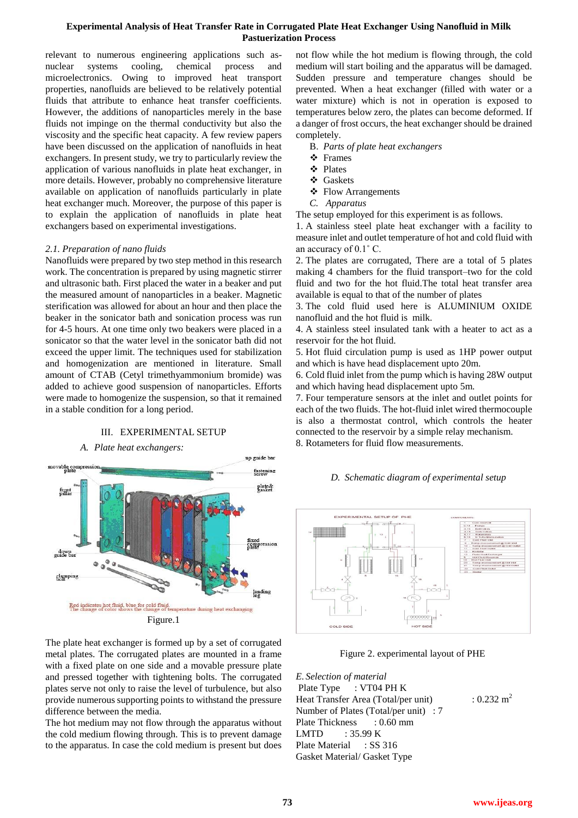# **Experimental Analysis of Heat Transfer Rate in Corrugated Plate Heat Exchanger Using Nanofluid in Milk Pastuerization Process**

relevant to numerous engineering applications such asnuclear systems cooling, chemical process and microelectronics. Owing to improved heat transport properties, nanofluids are believed to be relatively potential fluids that attribute to enhance heat transfer coefficients. However, the additions of nanoparticles merely in the base fluids not impinge on the thermal conductivity but also the viscosity and the specific heat capacity. A few review papers have been discussed on the application of nanofluids in heat exchangers. In present study, we try to particularly review the application of various nanofluids in plate heat exchanger, in more details. However, probably no comprehensive literature available on application of nanofluids particularly in plate heat exchanger much. Moreover, the purpose of this paper is to explain the application of nanofluids in plate heat exchangers based on experimental investigations.

### *2.1. Preparation of nano fluids*

Nanofluids were prepared by two step method in this research work. The concentration is prepared by using magnetic stirrer and ultrasonic bath. First placed the water in a beaker and put the measured amount of nanoparticles in a beaker. Magnetic sterification was allowed for about an hour and then place the beaker in the sonicator bath and sonication process was run for 4-5 hours. At one time only two beakers were placed in a sonicator so that the water level in the sonicator bath did not exceed the upper limit. The techniques used for stabilization and homogenization are mentioned in literature. Small amount of CTAB (Cetyl trimethyammonium bromide) was added to achieve good suspension of nanoparticles. Efforts were made to homogenize the suspension, so that it remained in a stable condition for a long period.

III. EXPERIMENTAL SETUP



The plate heat exchanger is formed up by a set of corrugated metal plates. The corrugated plates are mounted in a frame with a fixed plate on one side and a movable pressure plate and pressed together with tightening bolts. The corrugated plates serve not only to raise the level of turbulence, but also provide numerous supporting points to withstand the pressure difference between the media.

The hot medium may not flow through the apparatus without the cold medium flowing through. This is to prevent damage to the apparatus. In case the cold medium is present but does

not flow while the hot medium is flowing through, the cold medium will start boiling and the apparatus will be damaged. Sudden pressure and temperature changes should be prevented. When a heat exchanger (filled with water or a water mixture) which is not in operation is exposed to temperatures below zero, the plates can become deformed. If a danger of frost occurs, the heat exchanger should be drained completely.

- B. *Parts of plate heat exchangers*
- Frames
- Plates
- ❖ Gaskets
- ❖ Flow Arrangements
- *C. Apparatus*

The setup employed for this experiment is as follows.

1. A stainless steel plate heat exchanger with a facility to measure inlet and outlet temperature of hot and cold fluid with an accuracy of 0.1˚ C.

2. The plates are corrugated, There are a total of 5 plates making 4 chambers for the fluid transport–two for the cold fluid and two for the hot fluid.The total heat transfer area available is equal to that of the number of plates

3. The cold fluid used here is ALUMINIUM OXIDE nanofluid and the hot fluid is milk.

4. A stainless steel insulated tank with a heater to act as a reservoir for the hot fluid.

5. Hot fluid circulation pump is used as 1HP power output and which is have head displacement upto 20m.

6. Cold fluid inlet from the pump which is having 28W output and which having head displacement upto 5m.

7. Four temperature sensors at the inlet and outlet points for each of the two fluids. The hot-fluid inlet wired thermocouple is also a thermostat control, which controls the heater connected to the reservoir by a simple relay mechanism. 8. Rotameters for fluid flow measurements.

# *D. Schematic diagram of experimental setup*



Figure 2. experimental layout of PHE

*E. Selection of material*  Plate Type : VT04 PH K Heat Transfer Area (Total/per unit) :  $0.232 \text{ m}^2$ Number of Plates (Total/per unit) : 7 Plate Thickness : 0.60 mm LMTD : 35.99 K Plate Material : SS 316 Gasket Material/ Gasket Type

# **73 www.ijeas.org**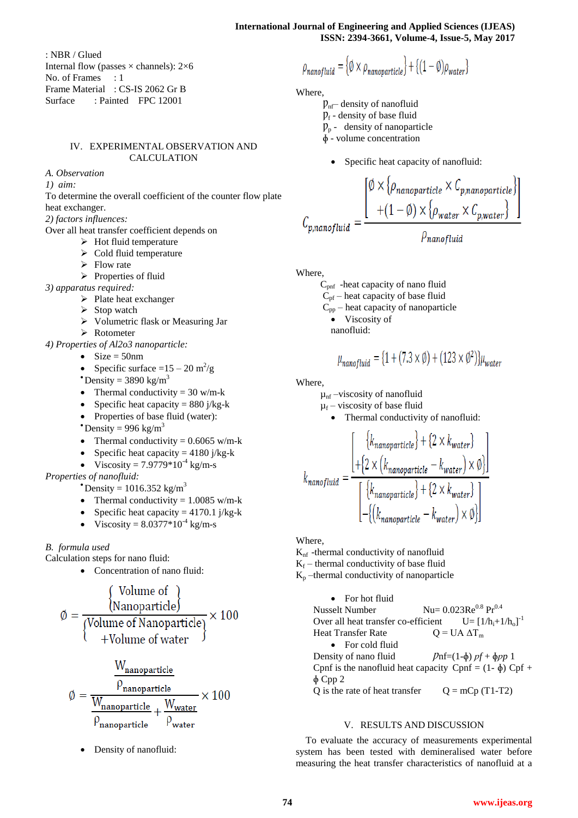: NBR / Glued Internal flow (passes  $\times$  channels): 2 $\times$ 6 No. of Frames : 1 Frame Material : CS-IS 2062 Gr B Surface : Painted FPC 12001

# IV. EXPERIMENTAL OBSERVATION AND CALCULATION

*A. Observation*

*1) aim:*

To determine the overall coefficient of the counter flow plate heat exchanger.

*2) factors influences:*

Over all heat transfer coefficient depends on

- $\triangleright$  Hot fluid temperature
- $\triangleright$  Cold fluid temperature
- $\triangleright$  Flow rate
- $\triangleright$  Properties of fluid

*3) apparatus required:*

- $\triangleright$  Plate heat exchanger
- $\triangleright$  Stop watch
- Volumetric flask or Measuring Jar
- > Rotometer

*4) Properties of Al2o3 nanoparticle:*

- $\bullet$  Size = 50nm
- Specific surface  $=15-20 \text{ m}^2/\text{g}$
- **Density** =  $3890 \text{ kg/m}^3$
- Thermal conductivity  $= 30$  w/m-k
- Specific heat capacity =  $880$  j/kg-k
- Properties of base fluid (water):
- **C**Density = 996 kg/m<sup>3</sup>
- Thermal conductivity  $= 0.6065$  w/m-k
- Specific heat capacity =  $4180$  j/kg-k
- Viscosity =  $7.9779*10^{-4}$  kg/m-s

*Properties of nanofluid:*

- **Density** = 1016.352 kg/m<sup>3</sup>
- Thermal conductivity  $= 1.0085$  w/m-k
- Specific heat capacity =  $4170.1$  j/kg-k
- Viscosity =  $8.0377*10^{-4}$  kg/m-s

*B. formula used*

Calculation steps for nano fluid:

• Concentration of nano fluid:

$$
\phi = \frac{\text{Volume of}}{\text{(Volume of Nanoparticle)}} \times 100
$$
\n
$$
\phi = \frac{\text{(Volume of Nanoparticle)}}{\text{(Volume of Water)}} \times 100
$$

$$
\emptyset = \frac{W_{nanoparticle}}{\frac{W_{nanoparticle}}{\rho_{nanoparticle}} + \frac{W_{water}}{\rho_{water}}} \times 100
$$

Density of nanofluid:

$$
\rho_{nanofluid} = \{ \emptyset \times \rho_{nanoparticle} \} + \{ (1 - \emptyset) \rho_{water} \}
$$

Where,

 $p_{n}$ – density of nanofluid

- $p_f$  density of base fluid
- $p_p$  density of nanoparticle
- ɸ volume concentration
	- Specific heat capacity of nanofluid:

$$
C_{p,nanofluid} = \frac{\left[\emptyset \times \left\{\rho_{nanoparticle} \times \mathcal{C}_{p,nanoparticle}\right\}\right]}{\left.+ (1-\emptyset) \times \left\{\rho_{water} \times \mathcal{C}_{p,water}\right\}\right]}
$$

$$
\rho_{nanofluid}
$$

Where,

 Cpnf -heat capacity of nano fluid  $C_{\text{pf}}$  – heat capacity of base fluid

$$
C_{\text{pp}}
$$
 - heat capacity of nanoparticle

$$
\bullet
$$
 Viscosity of

nanofluid:

 $\overline{\phantom{a}}$ 

$$
u_{nanofluid} = \{1 + (7.3 \times \emptyset) + (123 \times \emptyset^2)\}\mu_{water}
$$

Where,

 $\mu_{\rm nf}$  –viscosity of nanofluid

 $\mu_f$  – viscosity of base fluid

Thermal conductivity of nanofluid:

$$
k_{nanofluid} = \frac{\left[ \begin{array}{c} \{k_{nanoparticle}\} + \{2 \times k_{water}\} \\ + \{2 \times (k_{nanoparticle} - k_{water}) \times \emptyset\} \end{array} \right]}{\left[ \begin{array}{c} \{k_{nanoparticle}\} + \{2 \times k_{water}\} \\ - \{(k_{nanoparticle} - k_{water}) \times \emptyset\} \end{array} \right]}
$$

Where,

 $K_{\text{nf}}$  -thermal conductivity of nanofluid

 $K_f$  – thermal conductivity of base fluid

 $K_p$  –thermal conductivity of nanoparticle

• For hot fluid Nusselt Number  $Nu = 0.023Re^{0.8} Pr^{0.4}$ Over all heat transfer co-efficient  $U = [1/h_i + 1/h_o]^T$ Heat Transfer Rate  $Q = UA \Delta T_m$ • For cold fluid Density of nano fluid  $\mathcal{P}nf=(1-\phi) \mathcal{p}f + \phi \mathcal{p}p$  1 Cpnf is the nanofluid heat capacity Cpnf =  $(1-\phi)$  Cpf + ɸ Cpp 2 Q is the rate of heat transfer  $Q = mCp (T1-T2)$ 

### V. RESULTS AND DISCUSSION

To evaluate the accuracy of measurements experimental system has been tested with demineralised water before measuring the heat transfer characteristics of nanofluid at a